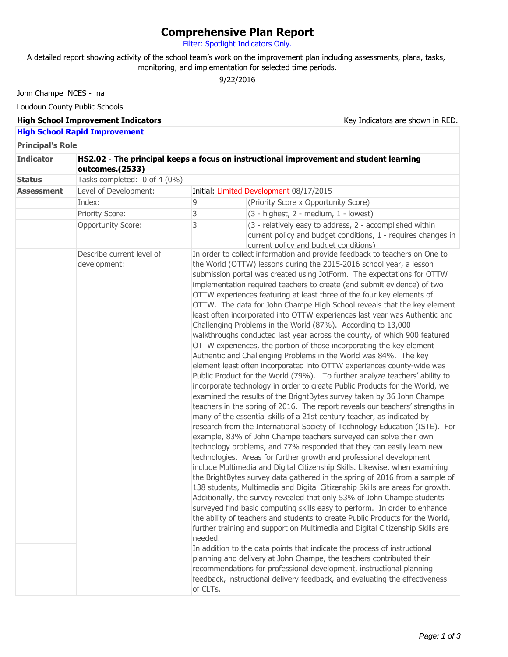## **Comprehensive Plan Report**

Filter: Spotlight Indicators Only.

A detailed report showing activity of the school team's work on the improvement plan including assessments, plans, tasks, monitoring, and implementation for selected time periods.

9/22/2016

John Champe NCES - na

Loudoun County Public Schools

## **High School Improvement Indicators**

Key Indicators are shown in RED.

## **High School Rapid Improvement**

**Principal's Role**

| <b>Indicator</b>  | HS2.02 - The principal keeps a focus on instructional improvement and student learning<br>outcomes.(2533) |                     |                                                                                                                                                                                                                                                                                                                                                                                                                                                                                                                                                                                                                                                                                                                                                                                                                                                                                                                                                                                                                                                                                                                                                                                                                                                                                                                                                                                                                                                                                                                                                                                                                                                                                                                                                                                                                                                                                                                                                                                                                                                                                                                                                                                                                                                                                                                                                                                                                                                                                                          |  |  |
|-------------------|-----------------------------------------------------------------------------------------------------------|---------------------|----------------------------------------------------------------------------------------------------------------------------------------------------------------------------------------------------------------------------------------------------------------------------------------------------------------------------------------------------------------------------------------------------------------------------------------------------------------------------------------------------------------------------------------------------------------------------------------------------------------------------------------------------------------------------------------------------------------------------------------------------------------------------------------------------------------------------------------------------------------------------------------------------------------------------------------------------------------------------------------------------------------------------------------------------------------------------------------------------------------------------------------------------------------------------------------------------------------------------------------------------------------------------------------------------------------------------------------------------------------------------------------------------------------------------------------------------------------------------------------------------------------------------------------------------------------------------------------------------------------------------------------------------------------------------------------------------------------------------------------------------------------------------------------------------------------------------------------------------------------------------------------------------------------------------------------------------------------------------------------------------------------------------------------------------------------------------------------------------------------------------------------------------------------------------------------------------------------------------------------------------------------------------------------------------------------------------------------------------------------------------------------------------------------------------------------------------------------------------------------------------------|--|--|
| <b>Status</b>     | Tasks completed: 0 of 4 (0%)                                                                              |                     |                                                                                                                                                                                                                                                                                                                                                                                                                                                                                                                                                                                                                                                                                                                                                                                                                                                                                                                                                                                                                                                                                                                                                                                                                                                                                                                                                                                                                                                                                                                                                                                                                                                                                                                                                                                                                                                                                                                                                                                                                                                                                                                                                                                                                                                                                                                                                                                                                                                                                                          |  |  |
| <b>Assessment</b> | Level of Development:<br>Initial: Limited Development 08/17/2015                                          |                     |                                                                                                                                                                                                                                                                                                                                                                                                                                                                                                                                                                                                                                                                                                                                                                                                                                                                                                                                                                                                                                                                                                                                                                                                                                                                                                                                                                                                                                                                                                                                                                                                                                                                                                                                                                                                                                                                                                                                                                                                                                                                                                                                                                                                                                                                                                                                                                                                                                                                                                          |  |  |
|                   | Index:                                                                                                    | 9                   | (Priority Score x Opportunity Score)                                                                                                                                                                                                                                                                                                                                                                                                                                                                                                                                                                                                                                                                                                                                                                                                                                                                                                                                                                                                                                                                                                                                                                                                                                                                                                                                                                                                                                                                                                                                                                                                                                                                                                                                                                                                                                                                                                                                                                                                                                                                                                                                                                                                                                                                                                                                                                                                                                                                     |  |  |
|                   | Priority Score:                                                                                           | 3                   | (3 - highest, 2 - medium, 1 - lowest)                                                                                                                                                                                                                                                                                                                                                                                                                                                                                                                                                                                                                                                                                                                                                                                                                                                                                                                                                                                                                                                                                                                                                                                                                                                                                                                                                                                                                                                                                                                                                                                                                                                                                                                                                                                                                                                                                                                                                                                                                                                                                                                                                                                                                                                                                                                                                                                                                                                                    |  |  |
|                   | <b>Opportunity Score:</b>                                                                                 | 3                   | (3 - relatively easy to address, 2 - accomplished within<br>current policy and budget conditions, 1 - requires changes in<br>current policy and budget conditions)                                                                                                                                                                                                                                                                                                                                                                                                                                                                                                                                                                                                                                                                                                                                                                                                                                                                                                                                                                                                                                                                                                                                                                                                                                                                                                                                                                                                                                                                                                                                                                                                                                                                                                                                                                                                                                                                                                                                                                                                                                                                                                                                                                                                                                                                                                                                       |  |  |
|                   | Describe current level of<br>development:                                                                 | needed.<br>of CLTs. | In order to collect information and provide feedback to teachers on One to<br>the World (OTTW) lessons during the 2015-2016 school year, a lesson<br>submission portal was created using JotForm. The expectations for OTTW<br>implementation required teachers to create (and submit evidence) of two<br>OTTW experiences featuring at least three of the four key elements of<br>OTTW. The data for John Champe High School reveals that the key element<br>least often incorporated into OTTW experiences last year was Authentic and<br>Challenging Problems in the World (87%). According to 13,000<br>walkthroughs conducted last year across the county, of which 900 featured<br>OTTW experiences, the portion of those incorporating the key element<br>Authentic and Challenging Problems in the World was 84%. The key<br>element least often incorporated into OTTW experiences county-wide was<br>Public Product for the World (79%). To further analyze teachers' ability to<br>incorporate technology in order to create Public Products for the World, we<br>examined the results of the BrightBytes survey taken by 36 John Champe<br>teachers in the spring of 2016. The report reveals our teachers' strengths in<br>many of the essential skills of a 21st century teacher, as indicated by<br>research from the International Society of Technology Education (ISTE). For<br>example, 83% of John Champe teachers surveyed can solve their own<br>technology problems, and 77% responded that they can easily learn new<br>technologies. Areas for further growth and professional development<br>include Multimedia and Digital Citizenship Skills. Likewise, when examining<br>the BrightBytes survey data gathered in the spring of 2016 from a sample of<br>138 students, Multimedia and Digital Citizenship Skills are areas for growth.<br>Additionally, the survey revealed that only 53% of John Champe students<br>surveyed find basic computing skills easy to perform. In order to enhance<br>the ability of teachers and students to create Public Products for the World,<br>further training and support on Multimedia and Digital Citizenship Skills are<br>In addition to the data points that indicate the process of instructional<br>planning and delivery at John Champe, the teachers contributed their<br>recommendations for professional development, instructional planning<br>feedback, instructional delivery feedback, and evaluating the effectiveness |  |  |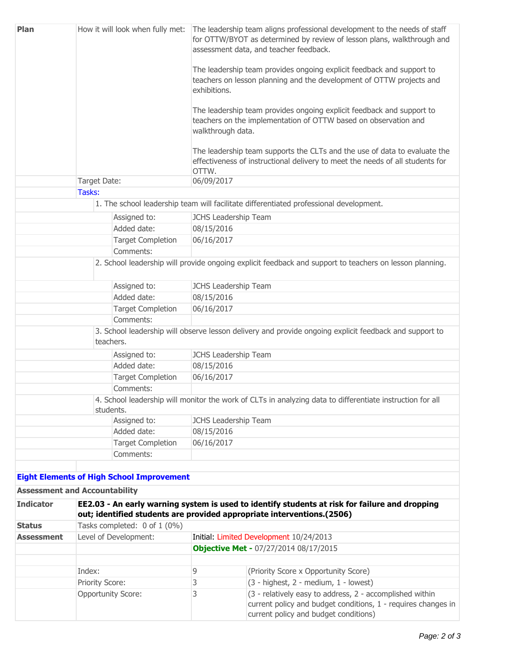| Plan                                 | How it will look when fully met:                                                                                                                                         |                                                  | The leadership team aligns professional development to the needs of staff<br>for OTTW/BYOT as determined by review of lesson plans, walkthrough and<br>assessment data, and teacher feedback.<br>The leadership team provides ongoing explicit feedback and support to<br>teachers on lesson planning and the development of OTTW projects and<br>exhibitions.<br>The leadership team provides ongoing explicit feedback and support to<br>teachers on the implementation of OTTW based on observation and<br>walkthrough data.<br>The leadership team supports the CLTs and the use of data to evaluate the<br>effectiveness of instructional delivery to meet the needs of all students for<br>OTTW. |                                                                                                                                                                    |  |  |              |  |            |  |
|--------------------------------------|--------------------------------------------------------------------------------------------------------------------------------------------------------------------------|--------------------------------------------------|--------------------------------------------------------------------------------------------------------------------------------------------------------------------------------------------------------------------------------------------------------------------------------------------------------------------------------------------------------------------------------------------------------------------------------------------------------------------------------------------------------------------------------------------------------------------------------------------------------------------------------------------------------------------------------------------------------|--------------------------------------------------------------------------------------------------------------------------------------------------------------------|--|--|--------------|--|------------|--|
|                                      |                                                                                                                                                                          |                                                  |                                                                                                                                                                                                                                                                                                                                                                                                                                                                                                                                                                                                                                                                                                        |                                                                                                                                                                    |  |  |              |  |            |  |
|                                      |                                                                                                                                                                          |                                                  |                                                                                                                                                                                                                                                                                                                                                                                                                                                                                                                                                                                                                                                                                                        |                                                                                                                                                                    |  |  | Target Date: |  | 06/09/2017 |  |
|                                      |                                                                                                                                                                          |                                                  |                                                                                                                                                                                                                                                                                                                                                                                                                                                                                                                                                                                                                                                                                                        |                                                                                                                                                                    |  |  | Tasks:       |  |            |  |
|                                      |                                                                                                                                                                          |                                                  |                                                                                                                                                                                                                                                                                                                                                                                                                                                                                                                                                                                                                                                                                                        | 1. The school leadership team will facilitate differentiated professional development.                                                                             |  |  |              |  |            |  |
|                                      |                                                                                                                                                                          | Assigned to:                                     | JCHS Leadership Team                                                                                                                                                                                                                                                                                                                                                                                                                                                                                                                                                                                                                                                                                   |                                                                                                                                                                    |  |  |              |  |            |  |
|                                      |                                                                                                                                                                          | Added date:                                      | 08/15/2016                                                                                                                                                                                                                                                                                                                                                                                                                                                                                                                                                                                                                                                                                             |                                                                                                                                                                    |  |  |              |  |            |  |
|                                      |                                                                                                                                                                          | <b>Target Completion</b>                         | 06/16/2017                                                                                                                                                                                                                                                                                                                                                                                                                                                                                                                                                                                                                                                                                             |                                                                                                                                                                    |  |  |              |  |            |  |
| Comments:                            |                                                                                                                                                                          |                                                  |                                                                                                                                                                                                                                                                                                                                                                                                                                                                                                                                                                                                                                                                                                        |                                                                                                                                                                    |  |  |              |  |            |  |
|                                      |                                                                                                                                                                          |                                                  |                                                                                                                                                                                                                                                                                                                                                                                                                                                                                                                                                                                                                                                                                                        | 2. School leadership will provide ongoing explicit feedback and support to teachers on lesson planning.                                                            |  |  |              |  |            |  |
| Assigned to:<br>Added date:          |                                                                                                                                                                          |                                                  | JCHS Leadership Team                                                                                                                                                                                                                                                                                                                                                                                                                                                                                                                                                                                                                                                                                   |                                                                                                                                                                    |  |  |              |  |            |  |
|                                      |                                                                                                                                                                          |                                                  | 08/15/2016                                                                                                                                                                                                                                                                                                                                                                                                                                                                                                                                                                                                                                                                                             |                                                                                                                                                                    |  |  |              |  |            |  |
| <b>Target Completion</b>             |                                                                                                                                                                          | 06/16/2017                                       |                                                                                                                                                                                                                                                                                                                                                                                                                                                                                                                                                                                                                                                                                                        |                                                                                                                                                                    |  |  |              |  |            |  |
|                                      |                                                                                                                                                                          | Comments:                                        |                                                                                                                                                                                                                                                                                                                                                                                                                                                                                                                                                                                                                                                                                                        |                                                                                                                                                                    |  |  |              |  |            |  |
|                                      | 3. School leadership will observe lesson delivery and provide ongoing explicit feedback and support to<br>teachers.                                                      |                                                  |                                                                                                                                                                                                                                                                                                                                                                                                                                                                                                                                                                                                                                                                                                        |                                                                                                                                                                    |  |  |              |  |            |  |
|                                      |                                                                                                                                                                          | Assigned to:                                     | JCHS Leadership Team                                                                                                                                                                                                                                                                                                                                                                                                                                                                                                                                                                                                                                                                                   |                                                                                                                                                                    |  |  |              |  |            |  |
|                                      |                                                                                                                                                                          | Added date:                                      | 08/15/2016                                                                                                                                                                                                                                                                                                                                                                                                                                                                                                                                                                                                                                                                                             |                                                                                                                                                                    |  |  |              |  |            |  |
|                                      |                                                                                                                                                                          | <b>Target Completion</b>                         | 06/16/2017                                                                                                                                                                                                                                                                                                                                                                                                                                                                                                                                                                                                                                                                                             |                                                                                                                                                                    |  |  |              |  |            |  |
|                                      | Comments:                                                                                                                                                                |                                                  |                                                                                                                                                                                                                                                                                                                                                                                                                                                                                                                                                                                                                                                                                                        |                                                                                                                                                                    |  |  |              |  |            |  |
|                                      | 4. School leadership will monitor the work of CLTs in analyzing data to differentiate instruction for all<br>students.                                                   |                                                  |                                                                                                                                                                                                                                                                                                                                                                                                                                                                                                                                                                                                                                                                                                        |                                                                                                                                                                    |  |  |              |  |            |  |
|                                      |                                                                                                                                                                          | Assigned to:                                     | JCHS Leadership Team                                                                                                                                                                                                                                                                                                                                                                                                                                                                                                                                                                                                                                                                                   |                                                                                                                                                                    |  |  |              |  |            |  |
|                                      |                                                                                                                                                                          | Added date:                                      | 08/15/2016                                                                                                                                                                                                                                                                                                                                                                                                                                                                                                                                                                                                                                                                                             |                                                                                                                                                                    |  |  |              |  |            |  |
|                                      |                                                                                                                                                                          | <b>Target Completion</b>                         | 06/16/2017                                                                                                                                                                                                                                                                                                                                                                                                                                                                                                                                                                                                                                                                                             |                                                                                                                                                                    |  |  |              |  |            |  |
|                                      |                                                                                                                                                                          | Comments:                                        |                                                                                                                                                                                                                                                                                                                                                                                                                                                                                                                                                                                                                                                                                                        |                                                                                                                                                                    |  |  |              |  |            |  |
|                                      |                                                                                                                                                                          |                                                  |                                                                                                                                                                                                                                                                                                                                                                                                                                                                                                                                                                                                                                                                                                        |                                                                                                                                                                    |  |  |              |  |            |  |
|                                      |                                                                                                                                                                          | <b>Eight Elements of High School Improvement</b> |                                                                                                                                                                                                                                                                                                                                                                                                                                                                                                                                                                                                                                                                                                        |                                                                                                                                                                    |  |  |              |  |            |  |
| <b>Assessment and Accountability</b> |                                                                                                                                                                          |                                                  |                                                                                                                                                                                                                                                                                                                                                                                                                                                                                                                                                                                                                                                                                                        |                                                                                                                                                                    |  |  |              |  |            |  |
| <b>Indicator</b>                     | EE2.03 - An early warning system is used to identify students at risk for failure and dropping<br>out; identified students are provided appropriate interventions.(2506) |                                                  |                                                                                                                                                                                                                                                                                                                                                                                                                                                                                                                                                                                                                                                                                                        |                                                                                                                                                                    |  |  |              |  |            |  |
| <b>Status</b>                        | Tasks completed: 0 of 1 (0%)                                                                                                                                             |                                                  |                                                                                                                                                                                                                                                                                                                                                                                                                                                                                                                                                                                                                                                                                                        |                                                                                                                                                                    |  |  |              |  |            |  |
| <b>Assessment</b>                    | Level of Development:                                                                                                                                                    |                                                  |                                                                                                                                                                                                                                                                                                                                                                                                                                                                                                                                                                                                                                                                                                        | Initial: Limited Development 10/24/2013                                                                                                                            |  |  |              |  |            |  |
|                                      |                                                                                                                                                                          |                                                  | <b>Objective Met - 07/27/2014 08/17/2015</b>                                                                                                                                                                                                                                                                                                                                                                                                                                                                                                                                                                                                                                                           |                                                                                                                                                                    |  |  |              |  |            |  |
|                                      |                                                                                                                                                                          |                                                  |                                                                                                                                                                                                                                                                                                                                                                                                                                                                                                                                                                                                                                                                                                        |                                                                                                                                                                    |  |  |              |  |            |  |
|                                      | Index:                                                                                                                                                                   |                                                  | 9                                                                                                                                                                                                                                                                                                                                                                                                                                                                                                                                                                                                                                                                                                      | (Priority Score x Opportunity Score)                                                                                                                               |  |  |              |  |            |  |
|                                      | Priority Score:                                                                                                                                                          |                                                  | 3                                                                                                                                                                                                                                                                                                                                                                                                                                                                                                                                                                                                                                                                                                      | (3 - highest, 2 - medium, 1 - lowest)                                                                                                                              |  |  |              |  |            |  |
|                                      | <b>Opportunity Score:</b>                                                                                                                                                |                                                  | 3                                                                                                                                                                                                                                                                                                                                                                                                                                                                                                                                                                                                                                                                                                      | (3 - relatively easy to address, 2 - accomplished within<br>current policy and budget conditions, 1 - requires changes in<br>current policy and budget conditions) |  |  |              |  |            |  |